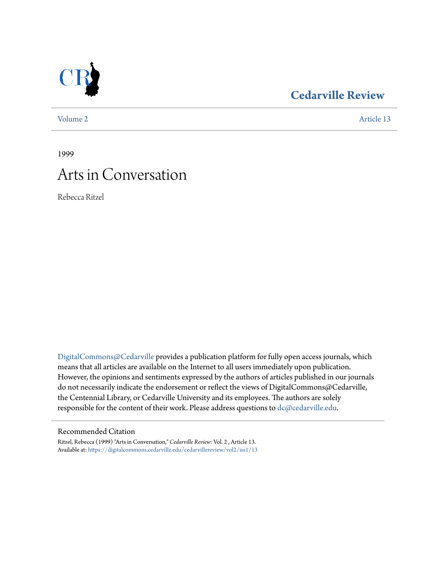

## **[Cedarville Review](https://digitalcommons.cedarville.edu/cedarvillereview?utm_source=digitalcommons.cedarville.edu%2Fcedarvillereview%2Fvol2%2Fiss1%2F13&utm_medium=PDF&utm_campaign=PDFCoverPages)**

[Volume 2](https://digitalcommons.cedarville.edu/cedarvillereview/vol2?utm_source=digitalcommons.cedarville.edu%2Fcedarvillereview%2Fvol2%2Fiss1%2F13&utm_medium=PDF&utm_campaign=PDFCoverPages) [Article 13](https://digitalcommons.cedarville.edu/cedarvillereview/vol2/iss1/13?utm_source=digitalcommons.cedarville.edu%2Fcedarvillereview%2Fvol2%2Fiss1%2F13&utm_medium=PDF&utm_campaign=PDFCoverPages)

1999

# Arts in Conversation

Rebecca Ritzel

[DigitalCommons@Cedarville](http://digitalcommons.cedarville.edu) provides a publication platform for fully open access journals, which means that all articles are available on the Internet to all users immediately upon publication. However, the opinions and sentiments expressed by the authors of articles published in our journals do not necessarily indicate the endorsement or reflect the views of DigitalCommons@Cedarville, the Centennial Library, or Cedarville University and its employees. The authors are solely responsible for the content of their work. Please address questions to [dc@cedarville.edu](mailto:dc@cedarville.edu).

#### Recommended Citation

Ritzel, Rebecca (1999) "Arts in Conversation," *Cedarville Review*: Vol. 2 , Article 13. Available at: [https://digitalcommons.cedarville.edu/cedarvillereview/vol2/iss1/13](https://digitalcommons.cedarville.edu/cedarvillereview/vol2/iss1/13?utm_source=digitalcommons.cedarville.edu%2Fcedarvillereview%2Fvol2%2Fiss1%2F13&utm_medium=PDF&utm_campaign=PDFCoverPages)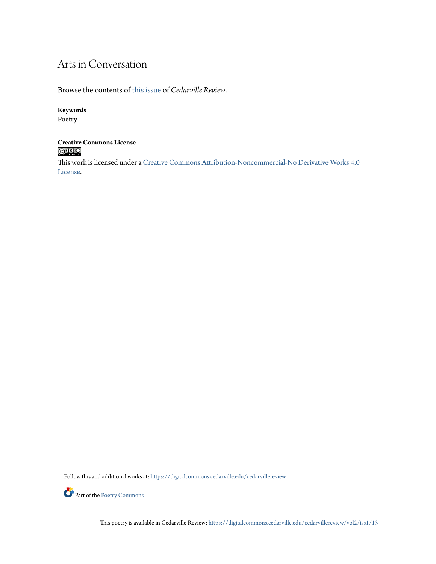# Arts in Conversation

Browse the contents of [this issue](https://digitalcommons.cedarville.edu/cedarvillereview/vol2/iss1) of *Cedarville Review*.

#### **Keywords**

Poetry

#### **Creative Commons License**  $\bigcirc$  000

This work is licensed under a [Creative Commons Attribution-Noncommercial-No Derivative Works 4.0](http://creativecommons.org/licenses/by-nc-nd/4.0/) [License.](http://creativecommons.org/licenses/by-nc-nd/4.0/)

Follow this and additional works at: [https://digitalcommons.cedarville.edu/cedarvillereview](https://digitalcommons.cedarville.edu/cedarvillereview?utm_source=digitalcommons.cedarville.edu%2Fcedarvillereview%2Fvol2%2Fiss1%2F13&utm_medium=PDF&utm_campaign=PDFCoverPages)



This poetry is available in Cedarville Review: [https://digitalcommons.cedarville.edu/cedarvillereview/vol2/iss1/13](https://digitalcommons.cedarville.edu/cedarvillereview/vol2/iss1/13?utm_source=digitalcommons.cedarville.edu%2Fcedarvillereview%2Fvol2%2Fiss1%2F13&utm_medium=PDF&utm_campaign=PDFCoverPages)